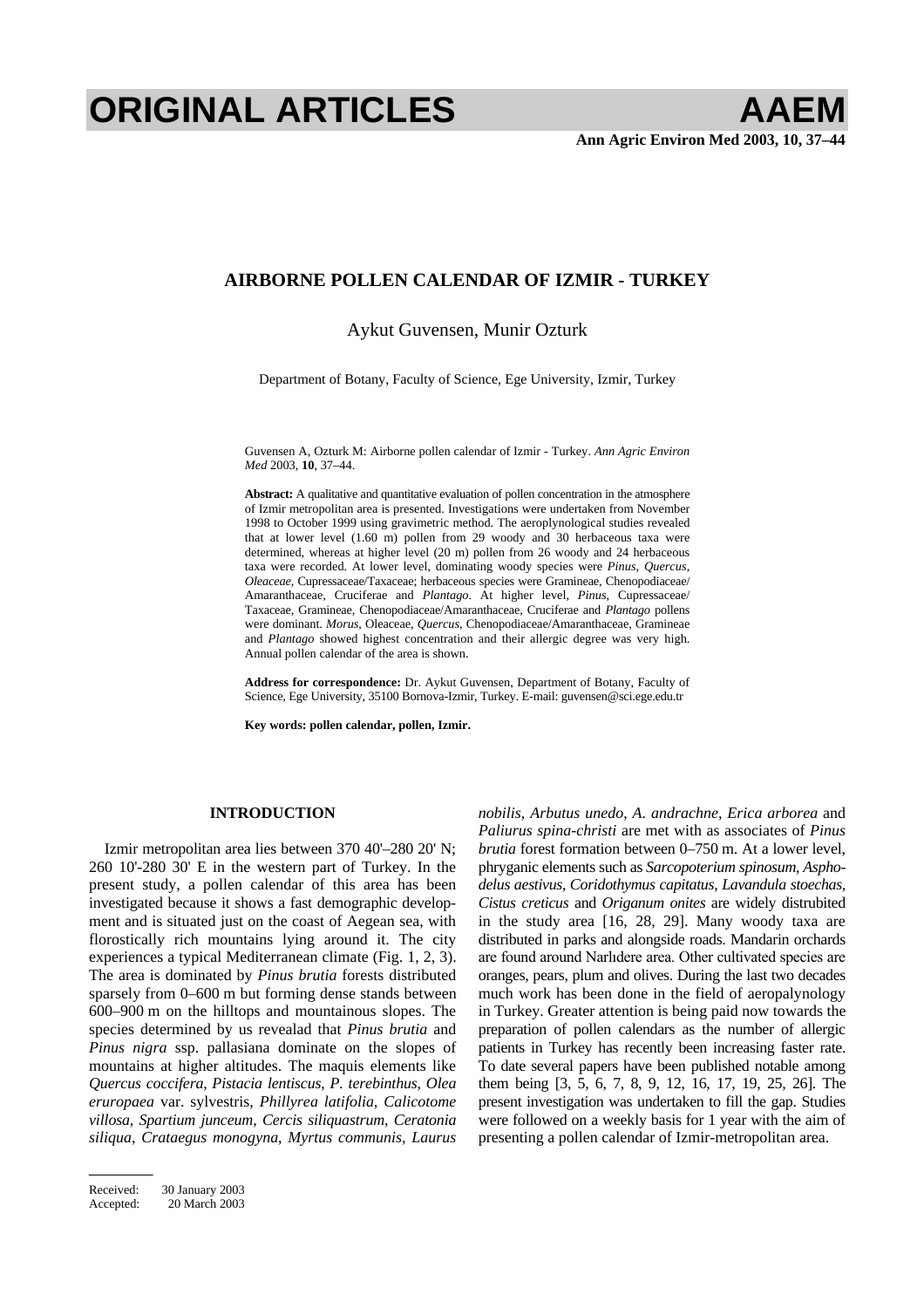# **ORIGINAL ARTICLES AAEM**

## **AIRBORNE POLLEN CALENDAR OF IZMIR - TURKEY**

## Aykut Guvensen, Munir Ozturk

Department of Botany, Faculty of Science, Ege University, Izmir, Turkey

Guvensen A, Ozturk M: Airborne pollen calendar of Izmir - Turkey. *Ann Agric Environ Med* 2003, **10**, 37–44.

**Abstract:** A qualitative and quantitative evaluation of pollen concentration in the atmosphere of Izmir metropolitan area is presented. Investigations were undertaken from November 1998 to October 1999 using gravimetric method. The aeroplynological studies revealed that at lower level  $(1.60 \text{ m})$  pollen from 29 woody and 30 herbaceous taxa were determined, whereas at higher level (20 m) pollen from 26 woody and 24 herbaceous taxa were recorded. At lower level, dominating woody species were *Pinus*, *Quercus*, *Oleaceae*, Cupressaceae/Taxaceae; herbaceous species were Gramineae, Chenopodiaceae/ Amaranthaceae, Cruciferae and *Plantago*. At higher level, *Pinus*, Cupressaceae/ Taxaceae, Gramineae, Chenopodiaceae/Amaranthaceae, Cruciferae and *Plantago* pollens were dominant. *Morus*, Oleaceae, *Quercus*, Chenopodiaceae/Amaranthaceae, Gramineae and *Plantago* showed highest concentration and their allergic degree was very high. Annual pollen calendar of the area is shown.

**Address for correspondence:** Dr. Aykut Guvensen, Department of Botany, Faculty of Science, Ege University, 35100 Bornova-Izmir, Turkey. E-mail: guvensen@sci.ege.edu.tr

**Key words: pollen calendar, pollen, Izmir.** 

## **INTRODUCTION**

Izmir metropolitan area lies between 370 40'–280 20' N; 260 10'-280 30' E in the western part of Turkey. In the present study, a pollen calendar of this area has been investigated because it shows a fast demographic development and is situated just on the coast of Aegean sea, with florostically rich mountains lying around it. The city experiences a typical Mediterranean climate (Fig. 1, 2, 3). The area is dominated by *Pinus brutia* forests distributed sparsely from 0–600 m but forming dense stands between 600–900 m on the hilltops and mountainous slopes. The species determined by us revealad that *Pinus brutia* and *Pinus nigra* ssp. pallasiana dominate on the slopes of mountains at higher altitudes. The maquis elements like *Quercus coccifera*, *Pistacia lentiscus*, *P. terebinthus*, *Olea eruropaea* var. sylvestris, *Phillyrea latifolia*, *Calicotome villosa*, *Spartium junceum*, *Cercis siliquastrum*, *Ceratonia siliqua*, *Crataegus monogyna*, *Myrtus communis*, *Laurus* 

Received: 30 January 2003<br>Accepted: 20 March 2003 20 March 2003 *nobilis*, *Arbutus unedo*, *A. andrachne*, *Erica arborea* and *Paliurus spina-christi* are met with as associates of *Pinus brutia* forest formation between 0–750 m. At a lower level, phryganic elements such as *Sarcopoterium spinosum*, *Asphodelus aestivus*, *Coridothymus capitatus*, *Lavandula stoechas*, *Cistus creticus* and *Origanum onites* are widely distrubited in the study area [16, 28, 29]. Many woody taxa are distributed in parks and alongside roads. Mandarin orchards are found around Narlidere area. Other cultivated species are oranges, pears, plum and olives. During the last two decades much work has been done in the field of aeropalynology in Turkey. Greater attention is being paid now towards the preparation of pollen calendars as the number of allergic patients in Turkey has recently been increasing faster rate. To date several papers have been published notable among them being [3, 5, 6, 7, 8, 9, 12, 16, 17, 19, 25, 26]. The present investigation was undertaken to fill the gap. Studies were followed on a weekly basis for 1 year with the aim of presenting a pollen calendar of Izmir-metropolitan area.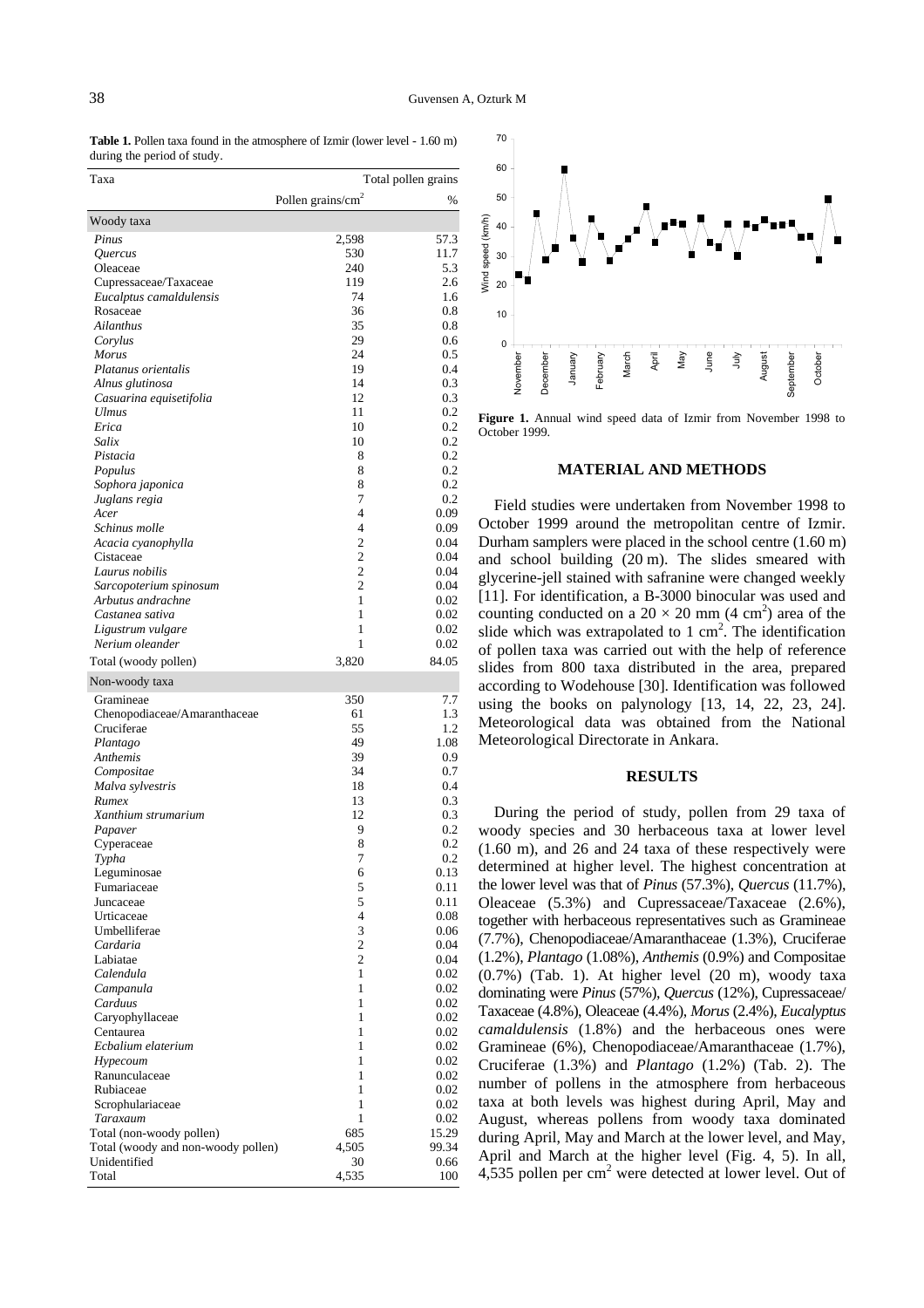Table 1. Pollen taxa found in the atmosphere of Izmir (lower level - 1.60 m) during the period of study.

| Taxa                                       |                               | Total pollen grains |  |  |  |  |  |
|--------------------------------------------|-------------------------------|---------------------|--|--|--|--|--|
|                                            | Pollen grains/cm <sup>2</sup> | %                   |  |  |  |  |  |
| Woody taxa                                 |                               |                     |  |  |  |  |  |
| Pinus                                      | 2,598                         | 57.3                |  |  |  |  |  |
| Quercus                                    | 530                           | 11.7                |  |  |  |  |  |
| Oleaceae                                   | 240                           | 5.3                 |  |  |  |  |  |
| Cupressaceae/Taxaceae                      | 119                           | 2.6                 |  |  |  |  |  |
| Eucalptus camaldulensis                    | 74                            | 1.6                 |  |  |  |  |  |
| Rosaceae                                   | 36                            | 0.8                 |  |  |  |  |  |
| Ailanthus                                  | 35<br>29                      | 0.8<br>0.6          |  |  |  |  |  |
| Corylus<br>Morus                           | 24                            | 0.5                 |  |  |  |  |  |
| Platanus orientalis                        | 19                            | 0.4                 |  |  |  |  |  |
| Alnus glutinosa                            | 14                            | 0.3                 |  |  |  |  |  |
| Casuarina equisetifolia                    | 12                            | 0.3                 |  |  |  |  |  |
| <b>Ulmus</b>                               | 11                            | 0.2                 |  |  |  |  |  |
| Erica                                      | 10                            | 0.2                 |  |  |  |  |  |
| Salix                                      | 10                            | 0.2                 |  |  |  |  |  |
| Pistacia                                   | 8                             | 0.2                 |  |  |  |  |  |
| Populus                                    | 8<br>8                        | 0.2<br>0.2          |  |  |  |  |  |
| Sophora japonica<br>Juglans regia          | 7                             | 0.2                 |  |  |  |  |  |
| Acer                                       | 4                             | 0.09                |  |  |  |  |  |
| Schinus molle                              | 4                             | 0.09                |  |  |  |  |  |
| Acacia cyanophylla                         | $\overline{c}$                | 0.04                |  |  |  |  |  |
| Cistaceae                                  | $\overline{c}$                | 0.04                |  |  |  |  |  |
| Laurus nobilis                             | $\overline{c}$                | 0.04                |  |  |  |  |  |
| Sarcopoterium spinosum                     | $\overline{2}$                | 0.04                |  |  |  |  |  |
| Arbutus andrachne                          | 1                             | 0.02                |  |  |  |  |  |
| Castanea sativa                            | 1                             | 0.02                |  |  |  |  |  |
| Ligustrum vulgare                          | 1<br>1                        | 0.02<br>0.02        |  |  |  |  |  |
| Nerium oleander                            |                               |                     |  |  |  |  |  |
| Total (woody pollen)                       | 3,820                         | 84.05               |  |  |  |  |  |
| Non-woody taxa                             |                               |                     |  |  |  |  |  |
| Gramineae                                  | 350                           | 7.7                 |  |  |  |  |  |
| Chenopodiaceae/Amaranthaceae<br>Cruciferae | 61<br>55                      | 1.3<br>1.2          |  |  |  |  |  |
| Plantago                                   | 49                            | 1.08                |  |  |  |  |  |
| Anthemis                                   | 39                            | 0.9                 |  |  |  |  |  |
| Compositae                                 | 34                            | 0.7                 |  |  |  |  |  |
| Malva sylvestris                           | 18                            | 0.4                 |  |  |  |  |  |
| Rumex                                      | 13                            | 0.3                 |  |  |  |  |  |
| Xanthium strumarium                        | 12                            | 0.3                 |  |  |  |  |  |
| Papaver                                    | 9                             | 0.2                 |  |  |  |  |  |
| Cyperaceae                                 | 8                             | 0.2                 |  |  |  |  |  |
| Typha                                      | 7                             | 0.2<br>0.13         |  |  |  |  |  |
| Leguminosae<br>Fumariaceae                 | 6<br>5                        | 0.11                |  |  |  |  |  |
| Juncaceae                                  | 5                             | 0.11                |  |  |  |  |  |
| Urticaceae                                 | 4                             | 0.08                |  |  |  |  |  |
| Umbelliferae                               | 3                             | 0.06                |  |  |  |  |  |
| Cardaria                                   | $\overline{c}$                | 0.04                |  |  |  |  |  |
| Labiatae                                   | $\overline{c}$                | 0.04                |  |  |  |  |  |
| Calendula                                  | 1                             | 0.02                |  |  |  |  |  |
| Campanula                                  | 1                             | 0.02                |  |  |  |  |  |
| Carduus                                    | 1<br>1                        | 0.02                |  |  |  |  |  |
| Caryophyllaceae<br>Centaurea               | 1                             | 0.02<br>0.02        |  |  |  |  |  |
| Ecbalium elaterium                         | 1                             | 0.02                |  |  |  |  |  |
| Hypecoum                                   | 1                             | 0.02                |  |  |  |  |  |
| Ranunculaceae                              | 1                             | 0.02                |  |  |  |  |  |
| Rubiaceae                                  | 1                             | 0.02                |  |  |  |  |  |
| Scrophulariaceae                           | 1                             | 0.02                |  |  |  |  |  |
| Taraxaum                                   | 1                             | 0.02                |  |  |  |  |  |
| Total (non-woody pollen)                   | 685                           | 15.29               |  |  |  |  |  |
| Total (woody and non-woody pollen)         | 4,505                         | 99.34               |  |  |  |  |  |
| Unidentified<br>Total                      | 30<br>4,535                   | 0.66<br>100         |  |  |  |  |  |
|                                            |                               |                     |  |  |  |  |  |



**Figure 1.** Annual wind speed data of Izmir from November 1998 to October 1999.

#### **MATERIAL AND METHODS**

Field studies were undertaken from November 1998 to October 1999 around the metropolitan centre of Izmir. Durham samplers were placed in the school centre (1.60 m) and school building (20 m). The slides smeared with glycerine-jell stained with safranine were changed weekly [11]. For identification, a B-3000 binocular was used and counting conducted on a  $20 \times 20$  mm (4 cm<sup>2</sup>) area of the slide which was extrapolated to  $1 \text{ cm}^2$ . The identification of pollen taxa was carried out with the help of reference slides from 800 taxa distributed in the area, prepared according to Wodehouse [30]. Identification was followed using the books on palynology [13, 14, 22, 23, 24]. Meteorological data was obtained from the National Meteorological Directorate in Ankara.

### **RESULTS**

During the period of study, pollen from 29 taxa of woody species and 30 herbaceous taxa at lower level (1.60 m), and 26 and 24 taxa of these respectively were determined at higher level. The highest concentration at the lower level was that of *Pinus* (57.3%), *Quercus* (11.7%), Oleaceae (5.3%) and Cupressaceae/Taxaceae (2.6%), together with herbaceous representatives such as Gramineae (7.7%), Chenopodiaceae/Amaranthaceae (1.3%), Cruciferae (1.2%), *Plantago* (1.08%), *Anthemis* (0.9%) and Compositae (0.7%) (Tab. 1). At higher level (20 m), woody taxa dominating were *Pinus* (57%), *Quercus* (12%), Cupressaceae/ Taxaceae (4.8%), Oleaceae (4.4%), *Morus* (2.4%), *Eucalyptus camaldulensis* (1.8%) and the herbaceous ones were Gramineae (6%), Chenopodiaceae/Amaranthaceae (1.7%), Cruciferae (1.3%) and *Plantago* (1.2%) (Tab. 2). The number of pollens in the atmosphere from herbaceous taxa at both levels was highest during April, May and August, whereas pollens from woody taxa dominated during April, May and March at the lower level, and May, April and March at the higher level (Fig. 4, 5). In all, 4,535 pollen per  $cm<sup>2</sup>$  were detected at lower level. Out of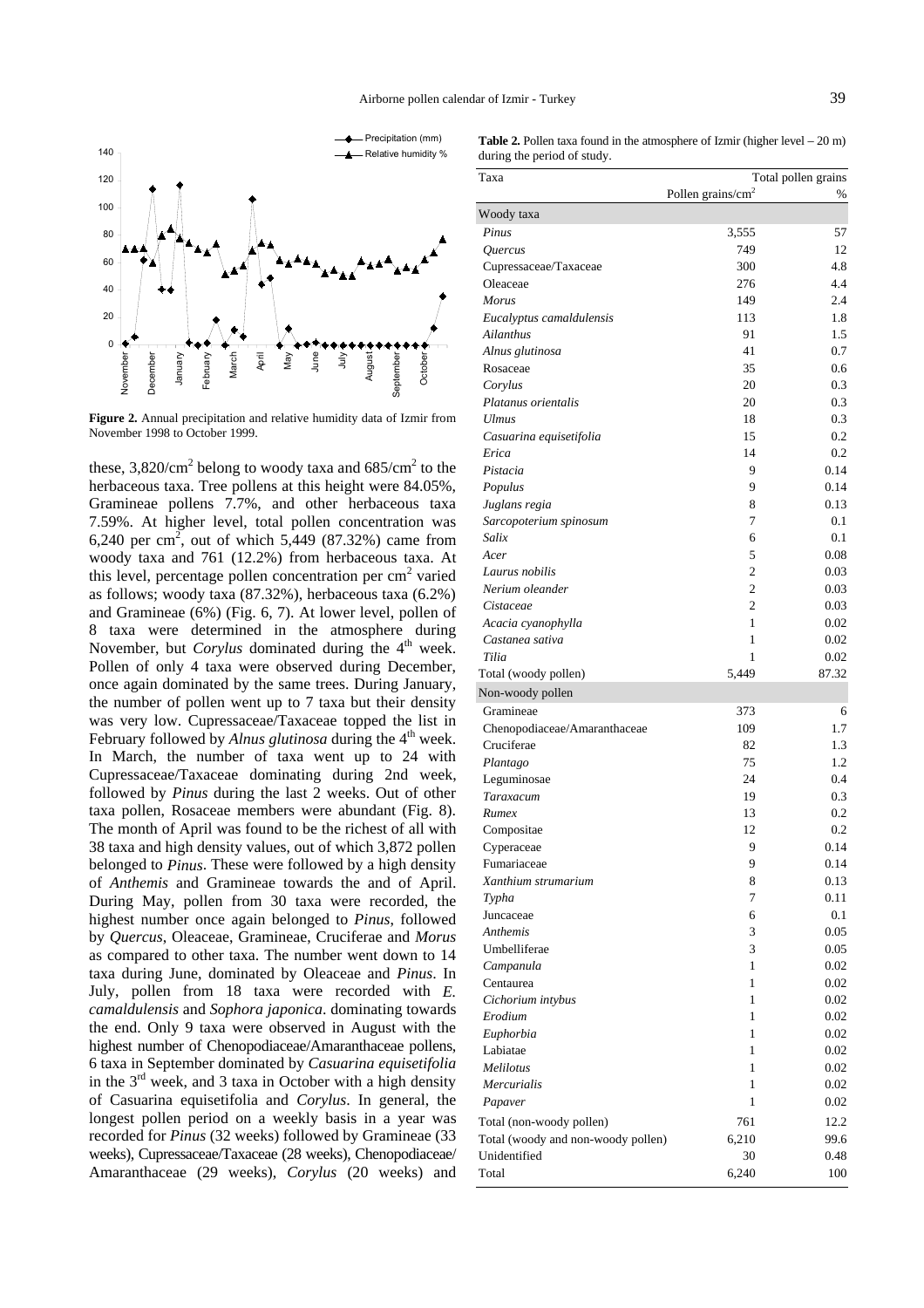

**Figure 2.** Annual precipitation and relative humidity data of Izmir from November 1998 to October 1999.

these,  $3,820/cm^2$  belong to woody taxa and  $685/cm^2$  to the herbaceous taxa. Tree pollens at this height were 84.05%, Gramineae pollens 7.7%, and other herbaceous taxa 7.59%. At higher level, total pollen concentration was 6,240 per cm<sup>2</sup>, out of which 5,449 (87.32%) came from woody taxa and 761 (12.2%) from herbaceous taxa. At this level, percentage pollen concentration per  $cm<sup>2</sup>$  varied as follows; woody taxa (87.32%), herbaceous taxa (6.2%) and Gramineae (6%) (Fig. 6, 7). At lower level, pollen of 8 taxa were determined in the atmosphere during November, but *Corylus* dominated during the 4<sup>th</sup> week. Pollen of only 4 taxa were observed during December, once again dominated by the same trees. During January, the number of pollen went up to 7 taxa but their density was very low. Cupressaceae/Taxaceae topped the list in February followed by *Alnus glutinosa* during the 4<sup>th</sup> week. In March, the number of taxa went up to 24 with Cupressaceae/Taxaceae dominating during 2nd week, followed by *Pinus* during the last 2 weeks. Out of other taxa pollen, Rosaceae members were abundant (Fig. 8). The month of April was found to be the richest of all with 38 taxa and high density values, out of which 3,872 pollen belonged to *Pinus*. These were followed by a high density of *Anthemis* and Gramineae towards the and of April. During May, pollen from 30 taxa were recorded, the highest number once again belonged to *Pinus*, followed by *Quercus*, Oleaceae, Gramineae, Cruciferae and *Morus* as compared to other taxa. The number went down to 14 taxa during June, dominated by Oleaceae and *Pinus*. In July, pollen from 18 taxa were recorded with *E. camaldulensis* and *Sophora japonica*. dominating towards the end. Only 9 taxa were observed in August with the highest number of Chenopodiaceae/Amaranthaceae pollens, 6 taxa in September dominated by *Casuarina equisetifolia* in the  $3<sup>rd</sup>$  week, and 3 taxa in October with a high density of Casuarina equisetifolia and *Corylus*. In general, the longest pollen period on a weekly basis in a year was recorded for *Pinus* (32 weeks) followed by Gramineae (33 weeks), Cupressaceae/Taxaceae (28 weeks), Chenopodiaceae/ Amaranthaceae (29 weeks), *Corylus* (20 weeks) and

|  |                             | <b>Table 2.</b> Pollen taxa found in the atmosphere of Izmir (higher level $-20$ m) |  |  |
|--|-----------------------------|-------------------------------------------------------------------------------------|--|--|
|  | during the period of study. |                                                                                     |  |  |

| Pollen grains/cm <sup>2</sup><br>%<br>Pinus<br>3,555<br>57<br>749<br>12<br>Quercus<br>300<br>4.8<br>Cupressaceae/Taxaceae<br>276<br>4.4<br>Oleaceae<br>149<br>2.4<br><b>Morus</b><br>1.8<br>113<br>Eucalyptus camaldulensis<br>1.5<br>Ailanthus<br>91<br>41<br>0.7<br>Alnus glutinosa<br>35<br>0.6<br>Rosaceae<br>20<br>0.3<br>Corylus<br>20<br>0.3<br>Platanus orientalis<br>0.3<br><b>Ulmus</b><br>18<br>0.2<br>15<br>Casuarina equisetifolia<br>0.2<br>Erica<br>14<br>0.14<br>9<br>Pistacia<br>0.14<br>9<br>Populus<br>Juglans regia<br>8<br>0.13<br>7<br>0.1<br>Sarcopoterium spinosum<br>Salix<br>6<br>0.1<br>0.08<br>Acer<br>5<br>$\mathfrak{2}$<br>0.03<br>Laurus nobilis<br>$\overline{c}$<br>Nerium oleander<br>0.03<br>$\overline{2}$<br>0.03<br>Cistaceae<br>$\mathbf{1}$<br>0.02<br>Acacia cyanophylla<br>$\mathbf{1}$<br>0.02<br>Castanea sativa<br>Tilia<br>0.02<br>1<br>5,449<br>87.32<br>Gramineae<br>373<br>6<br>109<br>1.7<br>Chenopodiaceae/Amaranthaceae<br>Cruciferae<br>82<br>1.3<br>75<br>1.2<br>Plantago<br>0.4<br>24<br>Leguminosae<br>0.3<br>19<br>Taraxacum<br>13<br>0.2<br>Rumex<br>12<br>0.2<br>Compositae<br>9<br>0.14<br>Cyperaceae<br>9<br>Fumariaceae<br>0.14<br>8<br>Xanthium strumarium<br>0.13<br>7<br>0.11<br>Typha<br>Juncaceae<br>6<br>0.1<br>3<br>Anthemis<br>0.05<br>3<br>Umbelliferae<br>0.05<br>$\mathbf{1}$<br>0.02<br>Campanula<br>Centaurea<br>1<br>Cichorium intybus<br>1<br>0.02<br>Erodium<br>1<br>0.02<br>1<br>Euphorbia<br>0.02<br>Labiatae<br>1<br>0.02<br>Melilotus<br>1<br>0.02<br>Mercurialis<br>1<br>1<br>0.02<br>Papaver<br>12.2<br>761<br>Total (woody and non-woody pollen)<br>6,210<br>30<br>6,240<br>100 | Taxa                     | Total pollen grains |
|-----------------------------------------------------------------------------------------------------------------------------------------------------------------------------------------------------------------------------------------------------------------------------------------------------------------------------------------------------------------------------------------------------------------------------------------------------------------------------------------------------------------------------------------------------------------------------------------------------------------------------------------------------------------------------------------------------------------------------------------------------------------------------------------------------------------------------------------------------------------------------------------------------------------------------------------------------------------------------------------------------------------------------------------------------------------------------------------------------------------------------------------------------------------------------------------------------------------------------------------------------------------------------------------------------------------------------------------------------------------------------------------------------------------------------------------------------------------------------------------------------------------------------------------------------------------------------------------------------------------------------------------------------------------------|--------------------------|---------------------|
|                                                                                                                                                                                                                                                                                                                                                                                                                                                                                                                                                                                                                                                                                                                                                                                                                                                                                                                                                                                                                                                                                                                                                                                                                                                                                                                                                                                                                                                                                                                                                                                                                                                                       |                          |                     |
|                                                                                                                                                                                                                                                                                                                                                                                                                                                                                                                                                                                                                                                                                                                                                                                                                                                                                                                                                                                                                                                                                                                                                                                                                                                                                                                                                                                                                                                                                                                                                                                                                                                                       | Woody taxa               |                     |
|                                                                                                                                                                                                                                                                                                                                                                                                                                                                                                                                                                                                                                                                                                                                                                                                                                                                                                                                                                                                                                                                                                                                                                                                                                                                                                                                                                                                                                                                                                                                                                                                                                                                       |                          |                     |
|                                                                                                                                                                                                                                                                                                                                                                                                                                                                                                                                                                                                                                                                                                                                                                                                                                                                                                                                                                                                                                                                                                                                                                                                                                                                                                                                                                                                                                                                                                                                                                                                                                                                       |                          |                     |
|                                                                                                                                                                                                                                                                                                                                                                                                                                                                                                                                                                                                                                                                                                                                                                                                                                                                                                                                                                                                                                                                                                                                                                                                                                                                                                                                                                                                                                                                                                                                                                                                                                                                       |                          |                     |
|                                                                                                                                                                                                                                                                                                                                                                                                                                                                                                                                                                                                                                                                                                                                                                                                                                                                                                                                                                                                                                                                                                                                                                                                                                                                                                                                                                                                                                                                                                                                                                                                                                                                       |                          |                     |
|                                                                                                                                                                                                                                                                                                                                                                                                                                                                                                                                                                                                                                                                                                                                                                                                                                                                                                                                                                                                                                                                                                                                                                                                                                                                                                                                                                                                                                                                                                                                                                                                                                                                       |                          |                     |
|                                                                                                                                                                                                                                                                                                                                                                                                                                                                                                                                                                                                                                                                                                                                                                                                                                                                                                                                                                                                                                                                                                                                                                                                                                                                                                                                                                                                                                                                                                                                                                                                                                                                       |                          |                     |
|                                                                                                                                                                                                                                                                                                                                                                                                                                                                                                                                                                                                                                                                                                                                                                                                                                                                                                                                                                                                                                                                                                                                                                                                                                                                                                                                                                                                                                                                                                                                                                                                                                                                       |                          |                     |
|                                                                                                                                                                                                                                                                                                                                                                                                                                                                                                                                                                                                                                                                                                                                                                                                                                                                                                                                                                                                                                                                                                                                                                                                                                                                                                                                                                                                                                                                                                                                                                                                                                                                       |                          |                     |
|                                                                                                                                                                                                                                                                                                                                                                                                                                                                                                                                                                                                                                                                                                                                                                                                                                                                                                                                                                                                                                                                                                                                                                                                                                                                                                                                                                                                                                                                                                                                                                                                                                                                       |                          |                     |
|                                                                                                                                                                                                                                                                                                                                                                                                                                                                                                                                                                                                                                                                                                                                                                                                                                                                                                                                                                                                                                                                                                                                                                                                                                                                                                                                                                                                                                                                                                                                                                                                                                                                       |                          |                     |
|                                                                                                                                                                                                                                                                                                                                                                                                                                                                                                                                                                                                                                                                                                                                                                                                                                                                                                                                                                                                                                                                                                                                                                                                                                                                                                                                                                                                                                                                                                                                                                                                                                                                       |                          |                     |
|                                                                                                                                                                                                                                                                                                                                                                                                                                                                                                                                                                                                                                                                                                                                                                                                                                                                                                                                                                                                                                                                                                                                                                                                                                                                                                                                                                                                                                                                                                                                                                                                                                                                       |                          |                     |
|                                                                                                                                                                                                                                                                                                                                                                                                                                                                                                                                                                                                                                                                                                                                                                                                                                                                                                                                                                                                                                                                                                                                                                                                                                                                                                                                                                                                                                                                                                                                                                                                                                                                       |                          |                     |
|                                                                                                                                                                                                                                                                                                                                                                                                                                                                                                                                                                                                                                                                                                                                                                                                                                                                                                                                                                                                                                                                                                                                                                                                                                                                                                                                                                                                                                                                                                                                                                                                                                                                       |                          |                     |
|                                                                                                                                                                                                                                                                                                                                                                                                                                                                                                                                                                                                                                                                                                                                                                                                                                                                                                                                                                                                                                                                                                                                                                                                                                                                                                                                                                                                                                                                                                                                                                                                                                                                       |                          |                     |
|                                                                                                                                                                                                                                                                                                                                                                                                                                                                                                                                                                                                                                                                                                                                                                                                                                                                                                                                                                                                                                                                                                                                                                                                                                                                                                                                                                                                                                                                                                                                                                                                                                                                       |                          |                     |
|                                                                                                                                                                                                                                                                                                                                                                                                                                                                                                                                                                                                                                                                                                                                                                                                                                                                                                                                                                                                                                                                                                                                                                                                                                                                                                                                                                                                                                                                                                                                                                                                                                                                       |                          |                     |
|                                                                                                                                                                                                                                                                                                                                                                                                                                                                                                                                                                                                                                                                                                                                                                                                                                                                                                                                                                                                                                                                                                                                                                                                                                                                                                                                                                                                                                                                                                                                                                                                                                                                       |                          |                     |
|                                                                                                                                                                                                                                                                                                                                                                                                                                                                                                                                                                                                                                                                                                                                                                                                                                                                                                                                                                                                                                                                                                                                                                                                                                                                                                                                                                                                                                                                                                                                                                                                                                                                       |                          |                     |
|                                                                                                                                                                                                                                                                                                                                                                                                                                                                                                                                                                                                                                                                                                                                                                                                                                                                                                                                                                                                                                                                                                                                                                                                                                                                                                                                                                                                                                                                                                                                                                                                                                                                       |                          |                     |
|                                                                                                                                                                                                                                                                                                                                                                                                                                                                                                                                                                                                                                                                                                                                                                                                                                                                                                                                                                                                                                                                                                                                                                                                                                                                                                                                                                                                                                                                                                                                                                                                                                                                       |                          |                     |
|                                                                                                                                                                                                                                                                                                                                                                                                                                                                                                                                                                                                                                                                                                                                                                                                                                                                                                                                                                                                                                                                                                                                                                                                                                                                                                                                                                                                                                                                                                                                                                                                                                                                       |                          |                     |
|                                                                                                                                                                                                                                                                                                                                                                                                                                                                                                                                                                                                                                                                                                                                                                                                                                                                                                                                                                                                                                                                                                                                                                                                                                                                                                                                                                                                                                                                                                                                                                                                                                                                       |                          |                     |
|                                                                                                                                                                                                                                                                                                                                                                                                                                                                                                                                                                                                                                                                                                                                                                                                                                                                                                                                                                                                                                                                                                                                                                                                                                                                                                                                                                                                                                                                                                                                                                                                                                                                       |                          |                     |
|                                                                                                                                                                                                                                                                                                                                                                                                                                                                                                                                                                                                                                                                                                                                                                                                                                                                                                                                                                                                                                                                                                                                                                                                                                                                                                                                                                                                                                                                                                                                                                                                                                                                       |                          |                     |
|                                                                                                                                                                                                                                                                                                                                                                                                                                                                                                                                                                                                                                                                                                                                                                                                                                                                                                                                                                                                                                                                                                                                                                                                                                                                                                                                                                                                                                                                                                                                                                                                                                                                       |                          |                     |
|                                                                                                                                                                                                                                                                                                                                                                                                                                                                                                                                                                                                                                                                                                                                                                                                                                                                                                                                                                                                                                                                                                                                                                                                                                                                                                                                                                                                                                                                                                                                                                                                                                                                       | Total (woody pollen)     |                     |
|                                                                                                                                                                                                                                                                                                                                                                                                                                                                                                                                                                                                                                                                                                                                                                                                                                                                                                                                                                                                                                                                                                                                                                                                                                                                                                                                                                                                                                                                                                                                                                                                                                                                       | Non-woody pollen         |                     |
|                                                                                                                                                                                                                                                                                                                                                                                                                                                                                                                                                                                                                                                                                                                                                                                                                                                                                                                                                                                                                                                                                                                                                                                                                                                                                                                                                                                                                                                                                                                                                                                                                                                                       |                          |                     |
|                                                                                                                                                                                                                                                                                                                                                                                                                                                                                                                                                                                                                                                                                                                                                                                                                                                                                                                                                                                                                                                                                                                                                                                                                                                                                                                                                                                                                                                                                                                                                                                                                                                                       |                          |                     |
|                                                                                                                                                                                                                                                                                                                                                                                                                                                                                                                                                                                                                                                                                                                                                                                                                                                                                                                                                                                                                                                                                                                                                                                                                                                                                                                                                                                                                                                                                                                                                                                                                                                                       |                          |                     |
|                                                                                                                                                                                                                                                                                                                                                                                                                                                                                                                                                                                                                                                                                                                                                                                                                                                                                                                                                                                                                                                                                                                                                                                                                                                                                                                                                                                                                                                                                                                                                                                                                                                                       |                          |                     |
|                                                                                                                                                                                                                                                                                                                                                                                                                                                                                                                                                                                                                                                                                                                                                                                                                                                                                                                                                                                                                                                                                                                                                                                                                                                                                                                                                                                                                                                                                                                                                                                                                                                                       |                          |                     |
|                                                                                                                                                                                                                                                                                                                                                                                                                                                                                                                                                                                                                                                                                                                                                                                                                                                                                                                                                                                                                                                                                                                                                                                                                                                                                                                                                                                                                                                                                                                                                                                                                                                                       |                          |                     |
|                                                                                                                                                                                                                                                                                                                                                                                                                                                                                                                                                                                                                                                                                                                                                                                                                                                                                                                                                                                                                                                                                                                                                                                                                                                                                                                                                                                                                                                                                                                                                                                                                                                                       |                          |                     |
|                                                                                                                                                                                                                                                                                                                                                                                                                                                                                                                                                                                                                                                                                                                                                                                                                                                                                                                                                                                                                                                                                                                                                                                                                                                                                                                                                                                                                                                                                                                                                                                                                                                                       |                          |                     |
|                                                                                                                                                                                                                                                                                                                                                                                                                                                                                                                                                                                                                                                                                                                                                                                                                                                                                                                                                                                                                                                                                                                                                                                                                                                                                                                                                                                                                                                                                                                                                                                                                                                                       |                          |                     |
|                                                                                                                                                                                                                                                                                                                                                                                                                                                                                                                                                                                                                                                                                                                                                                                                                                                                                                                                                                                                                                                                                                                                                                                                                                                                                                                                                                                                                                                                                                                                                                                                                                                                       |                          |                     |
|                                                                                                                                                                                                                                                                                                                                                                                                                                                                                                                                                                                                                                                                                                                                                                                                                                                                                                                                                                                                                                                                                                                                                                                                                                                                                                                                                                                                                                                                                                                                                                                                                                                                       |                          |                     |
|                                                                                                                                                                                                                                                                                                                                                                                                                                                                                                                                                                                                                                                                                                                                                                                                                                                                                                                                                                                                                                                                                                                                                                                                                                                                                                                                                                                                                                                                                                                                                                                                                                                                       |                          |                     |
|                                                                                                                                                                                                                                                                                                                                                                                                                                                                                                                                                                                                                                                                                                                                                                                                                                                                                                                                                                                                                                                                                                                                                                                                                                                                                                                                                                                                                                                                                                                                                                                                                                                                       |                          |                     |
|                                                                                                                                                                                                                                                                                                                                                                                                                                                                                                                                                                                                                                                                                                                                                                                                                                                                                                                                                                                                                                                                                                                                                                                                                                                                                                                                                                                                                                                                                                                                                                                                                                                                       |                          |                     |
|                                                                                                                                                                                                                                                                                                                                                                                                                                                                                                                                                                                                                                                                                                                                                                                                                                                                                                                                                                                                                                                                                                                                                                                                                                                                                                                                                                                                                                                                                                                                                                                                                                                                       |                          |                     |
|                                                                                                                                                                                                                                                                                                                                                                                                                                                                                                                                                                                                                                                                                                                                                                                                                                                                                                                                                                                                                                                                                                                                                                                                                                                                                                                                                                                                                                                                                                                                                                                                                                                                       |                          |                     |
|                                                                                                                                                                                                                                                                                                                                                                                                                                                                                                                                                                                                                                                                                                                                                                                                                                                                                                                                                                                                                                                                                                                                                                                                                                                                                                                                                                                                                                                                                                                                                                                                                                                                       |                          | 0.02                |
|                                                                                                                                                                                                                                                                                                                                                                                                                                                                                                                                                                                                                                                                                                                                                                                                                                                                                                                                                                                                                                                                                                                                                                                                                                                                                                                                                                                                                                                                                                                                                                                                                                                                       |                          |                     |
|                                                                                                                                                                                                                                                                                                                                                                                                                                                                                                                                                                                                                                                                                                                                                                                                                                                                                                                                                                                                                                                                                                                                                                                                                                                                                                                                                                                                                                                                                                                                                                                                                                                                       |                          |                     |
|                                                                                                                                                                                                                                                                                                                                                                                                                                                                                                                                                                                                                                                                                                                                                                                                                                                                                                                                                                                                                                                                                                                                                                                                                                                                                                                                                                                                                                                                                                                                                                                                                                                                       |                          |                     |
|                                                                                                                                                                                                                                                                                                                                                                                                                                                                                                                                                                                                                                                                                                                                                                                                                                                                                                                                                                                                                                                                                                                                                                                                                                                                                                                                                                                                                                                                                                                                                                                                                                                                       |                          |                     |
|                                                                                                                                                                                                                                                                                                                                                                                                                                                                                                                                                                                                                                                                                                                                                                                                                                                                                                                                                                                                                                                                                                                                                                                                                                                                                                                                                                                                                                                                                                                                                                                                                                                                       |                          |                     |
|                                                                                                                                                                                                                                                                                                                                                                                                                                                                                                                                                                                                                                                                                                                                                                                                                                                                                                                                                                                                                                                                                                                                                                                                                                                                                                                                                                                                                                                                                                                                                                                                                                                                       |                          | 0.02                |
|                                                                                                                                                                                                                                                                                                                                                                                                                                                                                                                                                                                                                                                                                                                                                                                                                                                                                                                                                                                                                                                                                                                                                                                                                                                                                                                                                                                                                                                                                                                                                                                                                                                                       |                          |                     |
|                                                                                                                                                                                                                                                                                                                                                                                                                                                                                                                                                                                                                                                                                                                                                                                                                                                                                                                                                                                                                                                                                                                                                                                                                                                                                                                                                                                                                                                                                                                                                                                                                                                                       | Total (non-woody pollen) |                     |
|                                                                                                                                                                                                                                                                                                                                                                                                                                                                                                                                                                                                                                                                                                                                                                                                                                                                                                                                                                                                                                                                                                                                                                                                                                                                                                                                                                                                                                                                                                                                                                                                                                                                       |                          | 99.6                |
|                                                                                                                                                                                                                                                                                                                                                                                                                                                                                                                                                                                                                                                                                                                                                                                                                                                                                                                                                                                                                                                                                                                                                                                                                                                                                                                                                                                                                                                                                                                                                                                                                                                                       | Unidentified             | 0.48                |
|                                                                                                                                                                                                                                                                                                                                                                                                                                                                                                                                                                                                                                                                                                                                                                                                                                                                                                                                                                                                                                                                                                                                                                                                                                                                                                                                                                                                                                                                                                                                                                                                                                                                       | Total                    |                     |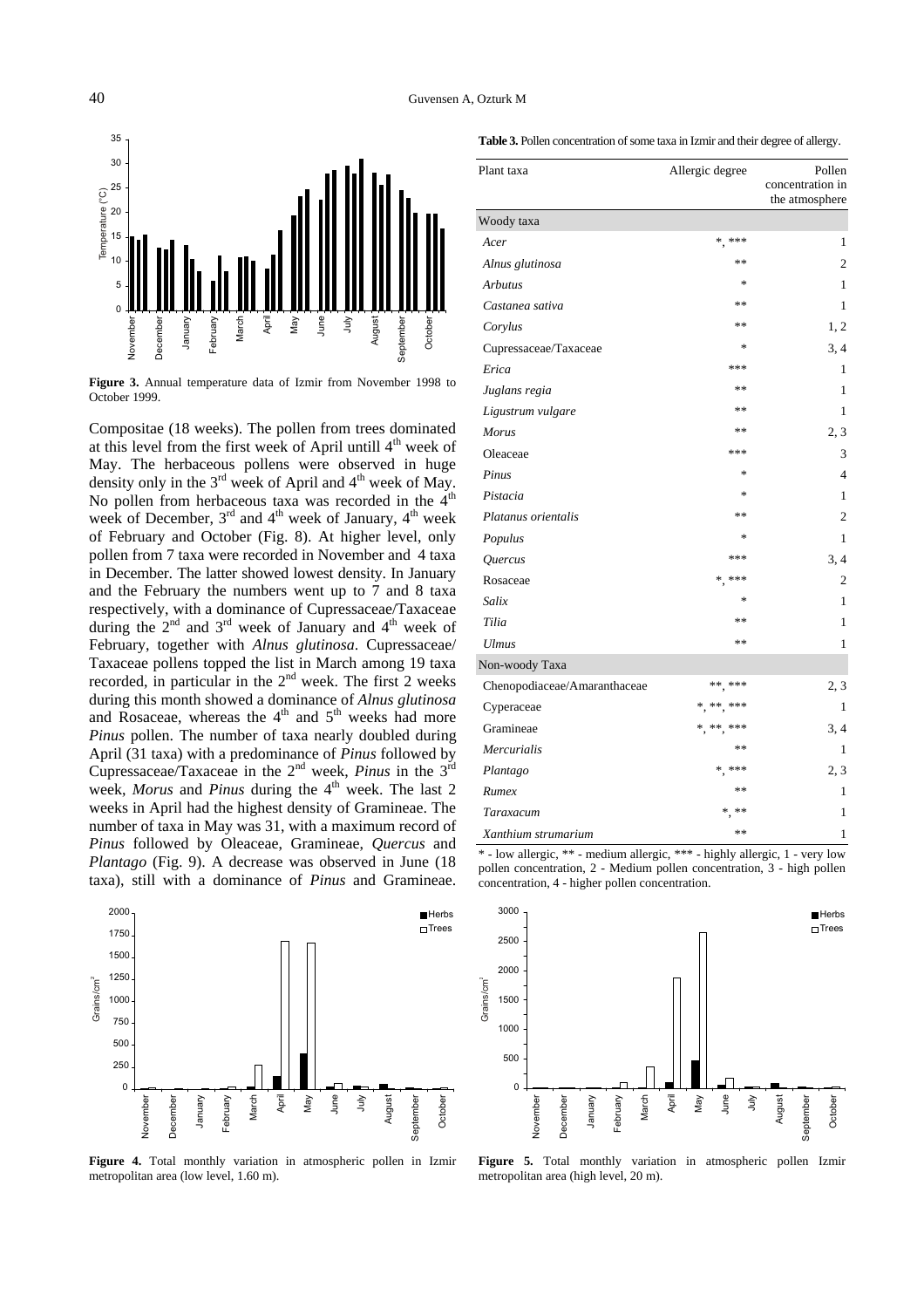

**Figure 3.** Annual temperature data of Izmir from November 1998 to October 1999.

Compositae (18 weeks). The pollen from trees dominated at this level from the first week of April untill 4<sup>th</sup> week of May. The herbaceous pollens were observed in huge density only in the  $3<sup>rd</sup>$  week of April and  $4<sup>th</sup>$  week of May. No pollen from herbaceous taxa was recorded in the 4<sup>th</sup> week of December,  $3<sup>rd</sup>$  and  $4<sup>th</sup>$  week of January,  $4<sup>th</sup>$  week of February and October (Fig. 8). At higher level, only pollen from 7 taxa were recorded in November and 4 taxa in December. The latter showed lowest density. In January and the February the numbers went up to 7 and 8 taxa respectively, with a dominance of Cupressaceae/Taxaceae during the  $2<sup>nd</sup>$  and  $3<sup>rd</sup>$  week of January and  $4<sup>th</sup>$  week of February, together with *Alnus glutinosa*. Cupressaceae/ Taxaceae pollens topped the list in March among 19 taxa recorded, in particular in the  $2<sup>nd</sup>$  week. The first 2 weeks during this month showed a dominance of *Alnus glutinosa* and Rosaceae, whereas the  $4<sup>th</sup>$  and  $5<sup>th</sup>$  weeks had more *Pinus* pollen. The number of taxa nearly doubled during April (31 taxa) with a predominance of *Pinus* followed by Cupressaceae/Taxaceae in the 2nd week, *Pinus* in the 3rd week, *Morus* and *Pinus* during the 4<sup>th</sup> week. The last 2 weeks in April had the highest density of Gramineae. The number of taxa in May was 31, with a maximum record of *Pinus* followed by Oleaceae, Gramineae, *Quercus* and *Plantago* (Fig. 9). A decrease was observed in June (18 taxa), still with a dominance of *Pinus* and Gramineae.



**Figure 4.** Total monthly variation in atmospheric pollen in Izmir metropolitan area (low level, 1.60 m).

| Table 3. Pollen concentration of some taxa in Izmir and their degree of allergy. |  |
|----------------------------------------------------------------------------------|--|
|----------------------------------------------------------------------------------|--|

| Plant taxa                   | Allergic degree | Pollen<br>concentration in<br>the atmosphere |
|------------------------------|-----------------|----------------------------------------------|
| Woody taxa                   |                 |                                              |
| Acer                         | $*$ ***         | 1                                            |
| Alnus glutinosa              | **              | 2                                            |
| <b>Arbutus</b>               | $\ast$          | 1                                            |
| Castanea sativa              | **              | 1                                            |
| Corylus                      | **              | 1, 2                                         |
| Cupressaceae/Taxaceae        | ∗               | 3, 4                                         |
| Erica                        | ***             | 1                                            |
| Juglans regia                | **              | 1                                            |
| Ligustrum vulgare            | **              | 1                                            |
| Morus                        | **              | 2, 3                                         |
| Oleaceae                     | ***             | 3                                            |
| Pinus                        | $\ast$          | 4                                            |
| Pistacia                     | $\ast$          | 1                                            |
| Platanus orientalis          | **              | 2                                            |
| Populus                      | $\ast$          | 1                                            |
| Quercus                      | ***             | 3, 4                                         |
| Rosaceae                     | $*$ , ***       | 2                                            |
| Salix                        | $\ast$          | 1                                            |
| Tilia                        | **              | 1                                            |
| <b>Ulmus</b>                 | **              | 1                                            |
| Non-woody Taxa               |                 |                                              |
| Chenopodiaceae/Amaranthaceae | ** ***          | 2, 3                                         |
| Cyperaceae                   | * ** ***        | $\mathbf{1}$                                 |
| Gramineae                    | *, **, ***      | 3, 4                                         |
| Mercurialis                  | **              | 1                                            |
| Plantago                     | $*$ ***         | 2, 3                                         |
| Rumex                        | **              | 1                                            |
| Taraxacum                    | **              | 1                                            |
| Xanthium strumarium          | **              | 1                                            |

\* - low allergic, \*\* - medium allergic, \*\*\* - highly allergic, 1 - very low pollen concentration, 2 - Medium pollen concentration, 3 - high pollen concentration, 4 - higher pollen concentration.



**Figure 5.** Total monthly variation in atmospheric pollen Izmir metropolitan area (high level, 20 m).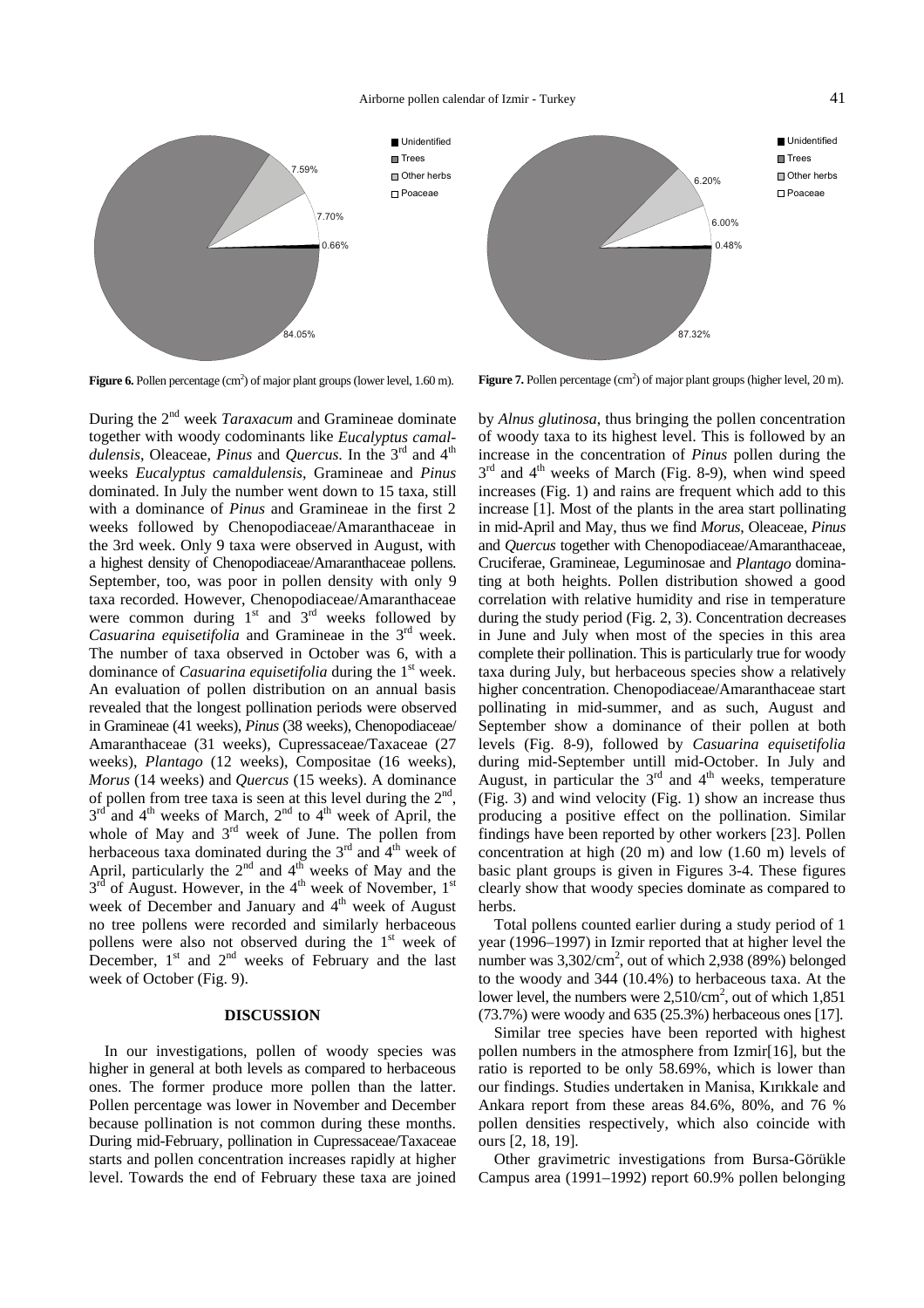

**Figure 6.** Pollen percentage  $(cm<sup>2</sup>)$  of major plant groups (lower level, 1.60 m).

During the 2nd week *Taraxacum* and Gramineae dominate together with woody codominants like *Eucalyptus camaldulensis*, Oleaceae, *Pinus* and *Quercus*. In the 3rd and 4th weeks *Eucalyptus camaldulensis*, Gramineae and *Pinus* dominated. In July the number went down to 15 taxa, still with a dominance of *Pinus* and Gramineae in the first 2 weeks followed by Chenopodiaceae/Amaranthaceae in the 3rd week. Only 9 taxa were observed in August, with a highest density of Chenopodiaceae/Amaranthaceae pollens. September, too, was poor in pollen density with only 9 taxa recorded. However, Chenopodiaceae/Amaranthaceae were common during  $1<sup>st</sup>$  and  $3<sup>rd</sup>$  weeks followed by *Casuarina equisetifolia* and Gramineae in the 3<sup>rd</sup> week. The number of taxa observed in October was 6, with a dominance of *Casuarina equisetifolia* during the 1<sup>st</sup> week. An evaluation of pollen distribution on an annual basis revealed that the longest pollination periods were observed in Gramineae (41 weeks), *Pinus* (38 weeks), Chenopodiaceae/ Amaranthaceae (31 weeks), Cupressaceae/Taxaceae (27 weeks), *Plantago* (12 weeks), Compositae (16 weeks), *Morus* (14 weeks) and *Quercus* (15 weeks). A dominance of pollen from tree taxa is seen at this level during the  $2<sup>nd</sup>$ ,  $3<sup>rd</sup>$  and 4<sup>th</sup> weeks of March, 2<sup>nd</sup> to 4<sup>th</sup> week of April, the whole of May and  $3<sup>rd</sup>$  week of June. The pollen from herbaceous taxa dominated during the 3<sup>rd</sup> and 4<sup>th</sup> week of April, particularly the  $2<sup>nd</sup>$  and  $4<sup>th</sup>$  weeks of May and the  $3<sup>rd</sup>$  of August. However, in the 4<sup>th</sup> week of November, 1<sup>st</sup> week of December and January and 4<sup>th</sup> week of August no tree pollens were recorded and similarly herbaceous pollens were also not observed during the  $1<sup>st</sup>$  week of December,  $1<sup>st</sup>$  and  $2<sup>nd</sup>$  weeks of February and the last week of October (Fig. 9).

#### **DISCUSSION**

In our investigations, pollen of woody species was higher in general at both levels as compared to herbaceous ones. The former produce more pollen than the latter. Pollen percentage was lower in November and December because pollination is not common during these months. During mid-February, pollination in Cupressaceae/Taxaceae starts and pollen concentration increases rapidly at higher level. Towards the end of February these taxa are joined

**Figure 7.** Pollen percentage  $(cm<sup>2</sup>)$  of major plant groups (higher level, 20 m).

by *Alnus glutinosa*, thus bringing the pollen concentration of woody taxa to its highest level. This is followed by an increase in the concentration of *Pinus* pollen during the  $3<sup>rd</sup>$  and  $4<sup>th</sup>$  weeks of March (Fig. 8-9), when wind speed increases (Fig. 1) and rains are frequent which add to this increase [1]. Most of the plants in the area start pollinating in mid-April and May, thus we find *Morus*, Oleaceae, *Pinus* and *Quercus* together with Chenopodiaceae/Amaranthaceae, Cruciferae, Gramineae, Leguminosae and *Plantago* dominating at both heights. Pollen distribution showed a good correlation with relative humidity and rise in temperature during the study period (Fig. 2, 3). Concentration decreases in June and July when most of the species in this area complete their pollination. This is particularly true for woody taxa during July, but herbaceous species show a relatively higher concentration. Chenopodiaceae/Amaranthaceae start pollinating in mid-summer, and as such, August and September show a dominance of their pollen at both levels (Fig. 8-9), followed by *Casuarina equisetifolia* during mid-September untill mid-October. In July and August, in particular the  $3<sup>rd</sup>$  and  $4<sup>th</sup>$  weeks, temperature (Fig. 3) and wind velocity (Fig. 1) show an increase thus producing a positive effect on the pollination. Similar findings have been reported by other workers [23]. Pollen concentration at high (20 m) and low (1.60 m) levels of basic plant groups is given in Figures 3-4. These figures clearly show that woody species dominate as compared to herbs.

Total pollens counted earlier during a study period of 1 year (1996–1997) in Izmir reported that at higher level the number was 3,302/cm<sup>2</sup>, out of which 2,938 (89%) belonged to the woody and 344 (10.4%) to herbaceous taxa. At the lower level, the numbers were  $2{,}510/cm^2$ , out of which  $1{,}851$ (73.7%) were woody and 635 (25.3%) herbaceous ones [17].

Similar tree species have been reported with highest pollen numbers in the atmosphere from Izmir[16], but the ratio is reported to be only 58.69%, which is lower than our findings. Studies undertaken in Manisa, Kırıkkale and Ankara report from these areas 84.6%, 80%, and 76 % pollen densities respectively, which also coincide with ours [2, 18, 19].

Other gravimetric investigations from Bursa-Görükle Campus area (1991–1992) report 60.9% pollen belonging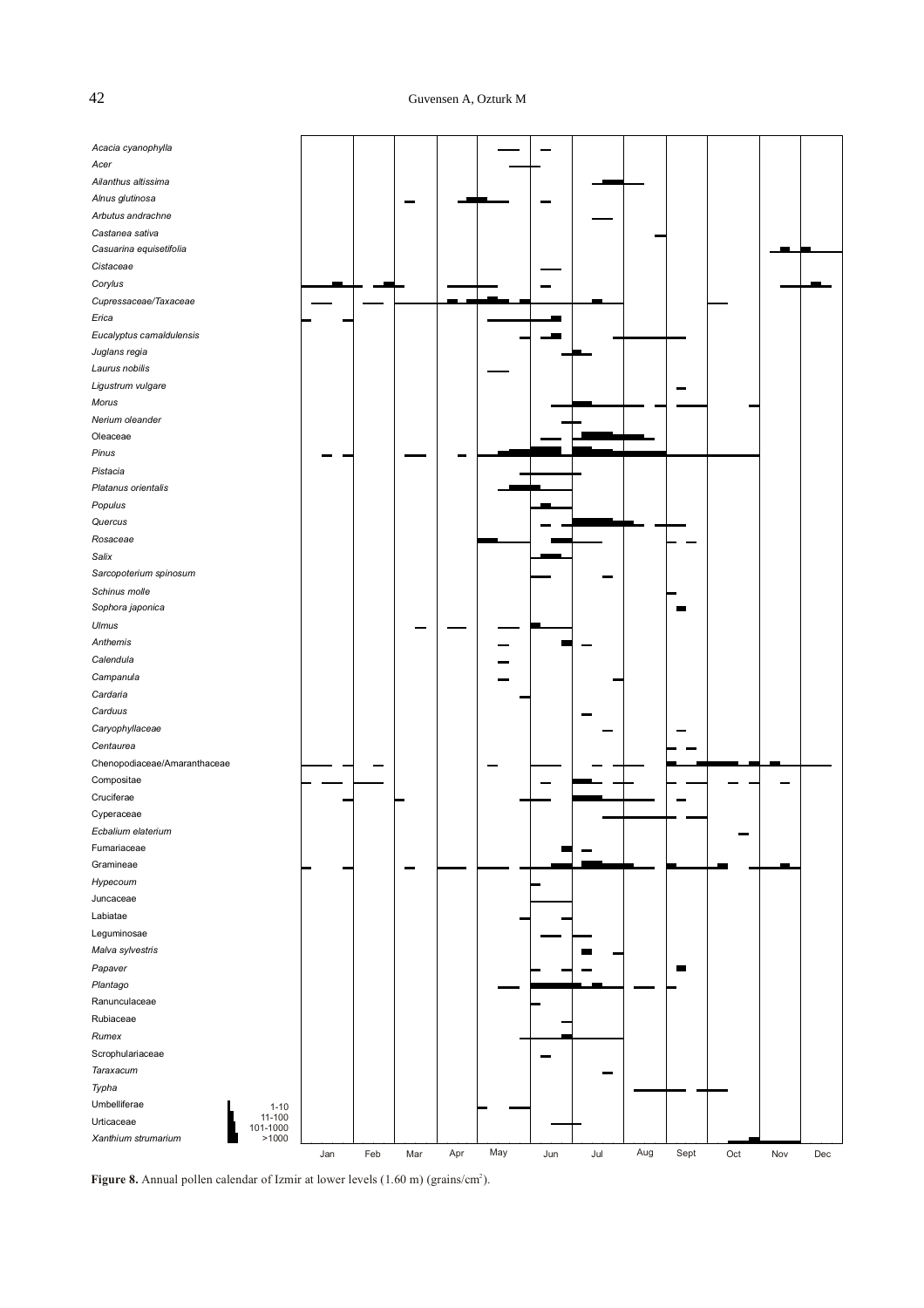# 42 Guvensen A, Ozturk M

| Acacia cyanophylla           |                    |     |     |     |     |     |     |                |     |      |     |     |     |
|------------------------------|--------------------|-----|-----|-----|-----|-----|-----|----------------|-----|------|-----|-----|-----|
| Acer                         |                    |     |     |     |     |     |     |                |     |      |     |     |     |
| Ailanthus altissima          |                    |     |     |     |     |     |     |                |     |      |     |     |     |
| Alnus glutinosa              |                    |     |     |     |     |     |     |                |     |      |     |     |     |
| Arbutus andrachne            |                    |     |     |     |     |     |     |                |     |      |     |     |     |
| Castanea sativa              |                    |     |     |     |     |     |     |                |     |      |     |     |     |
| Casuarina equisetifolia      |                    |     |     |     |     |     |     |                |     |      |     |     |     |
| Cistaceae                    |                    |     |     |     |     |     |     |                |     |      |     |     |     |
| Corylus                      |                    |     |     |     |     |     |     |                |     |      |     |     |     |
| Cupressaceae/Taxaceae        |                    |     |     |     |     |     |     |                |     |      |     |     |     |
| Erica                        |                    |     |     |     |     |     |     |                |     |      |     |     |     |
| Eucalyptus camaldulensis     |                    |     |     |     |     |     |     |                |     |      |     |     |     |
| Juglans regia                |                    |     |     |     |     |     |     |                |     |      |     |     |     |
| Laurus nobilis               |                    |     |     |     |     |     |     |                |     |      |     |     |     |
| Ligustrum vulgare            |                    |     |     |     |     |     |     |                |     |      |     |     |     |
| Morus                        |                    |     |     |     |     |     |     |                |     |      |     |     |     |
| Nerium oleander              |                    |     |     |     |     |     |     |                |     |      |     |     |     |
| Oleaceae                     |                    |     |     |     |     |     |     |                |     |      |     |     |     |
| Pinus                        |                    |     |     |     |     |     |     |                |     |      |     |     |     |
| Pistacia                     |                    |     |     |     |     |     |     |                |     |      |     |     |     |
| Platanus orientalis          |                    |     |     |     |     |     |     |                |     |      |     |     |     |
| Populus                      |                    |     |     |     |     |     |     |                |     |      |     |     |     |
| Quercus                      |                    |     |     |     |     |     |     |                |     |      |     |     |     |
| Rosaceae                     |                    |     |     |     |     |     |     |                |     |      |     |     |     |
| Salix                        |                    |     |     |     |     |     |     |                |     |      |     |     |     |
| Sarcopoterium spinosum       |                    |     |     |     |     |     |     |                |     |      |     |     |     |
| Schinus molle                |                    |     |     |     |     |     |     |                |     |      |     |     |     |
| Sophora japonica             |                    |     |     |     |     |     |     |                |     |      |     |     |     |
| Ulmus                        |                    |     |     |     |     |     |     |                |     |      |     |     |     |
| Anthemis                     |                    |     |     |     |     |     |     |                |     |      |     |     |     |
| Calendula                    |                    |     |     |     |     |     |     |                |     |      |     |     |     |
| Campanula                    |                    |     |     |     |     |     |     |                |     |      |     |     |     |
|                              |                    |     |     |     |     |     |     |                |     |      |     |     |     |
| Cardaria                     |                    |     |     |     |     |     |     |                |     |      |     |     |     |
| Carduus                      |                    |     |     |     |     |     |     |                |     |      |     |     |     |
| Caryophyllaceae              |                    |     |     |     |     |     |     |                |     |      |     |     |     |
| Centaurea                    |                    |     |     |     |     |     |     |                |     |      |     |     |     |
| Chenopodiaceae/Amaranthaceae |                    |     |     |     |     |     |     |                |     |      |     |     |     |
| Compositae                   |                    |     |     |     |     |     |     |                |     |      |     |     |     |
| Cruciferae                   |                    |     |     |     |     |     |     |                |     |      |     |     |     |
| Cyperaceae                   |                    |     |     |     |     |     |     |                |     |      |     |     |     |
| Ecbalium elaterium           |                    |     |     |     |     |     |     |                |     |      |     |     |     |
| Fumariaceae                  |                    |     |     |     |     |     |     |                |     |      |     |     |     |
| Gramineae                    |                    |     |     |     |     |     |     |                |     |      |     |     |     |
| Hypecoum                     |                    |     |     |     |     |     |     |                |     |      |     |     |     |
| Juncaceae                    |                    |     |     |     |     |     |     |                |     |      |     |     |     |
| Labiatae                     |                    |     |     |     |     |     |     |                |     |      |     |     |     |
| Leguminosae                  |                    |     |     |     |     |     |     |                |     |      |     |     |     |
| Malva sylvestris             |                    |     |     |     |     |     |     | $\blacksquare$ |     |      |     |     |     |
| Papaver                      |                    |     |     |     |     |     |     |                |     |      |     |     |     |
| Plantago                     |                    |     |     |     |     |     |     |                |     |      |     |     |     |
| Ranunculaceae                |                    |     |     |     |     |     |     |                |     |      |     |     |     |
| Rubiaceae                    |                    |     |     |     |     |     |     |                |     |      |     |     |     |
| Rumex                        |                    |     |     |     |     |     |     |                |     |      |     |     |     |
| Scrophulariaceae             |                    |     |     |     |     |     |     |                |     |      |     |     |     |
| Taraxacum                    |                    |     |     |     |     |     |     |                |     |      |     |     |     |
| Typha                        |                    |     |     |     |     |     |     |                |     |      |     |     |     |
| Umbelliferae                 | $1 - 10$           |     |     |     |     |     |     |                |     |      |     |     |     |
| Urticaceae                   | 11-100<br>101-1000 |     |     |     |     |     |     |                |     |      |     |     |     |
| Xanthium strumarium          | >1000              |     |     |     |     |     |     |                |     |      |     |     |     |
|                              |                    | Jan | Feb | Mar | Apr | May | Jun | Jul            | Aug | Sept | Oct | Nov | Dec |

Figure 8. Annual pollen calendar of Izmir at lower levels  $(1.60 \text{ m})$  (grains/cm<sup>2</sup>).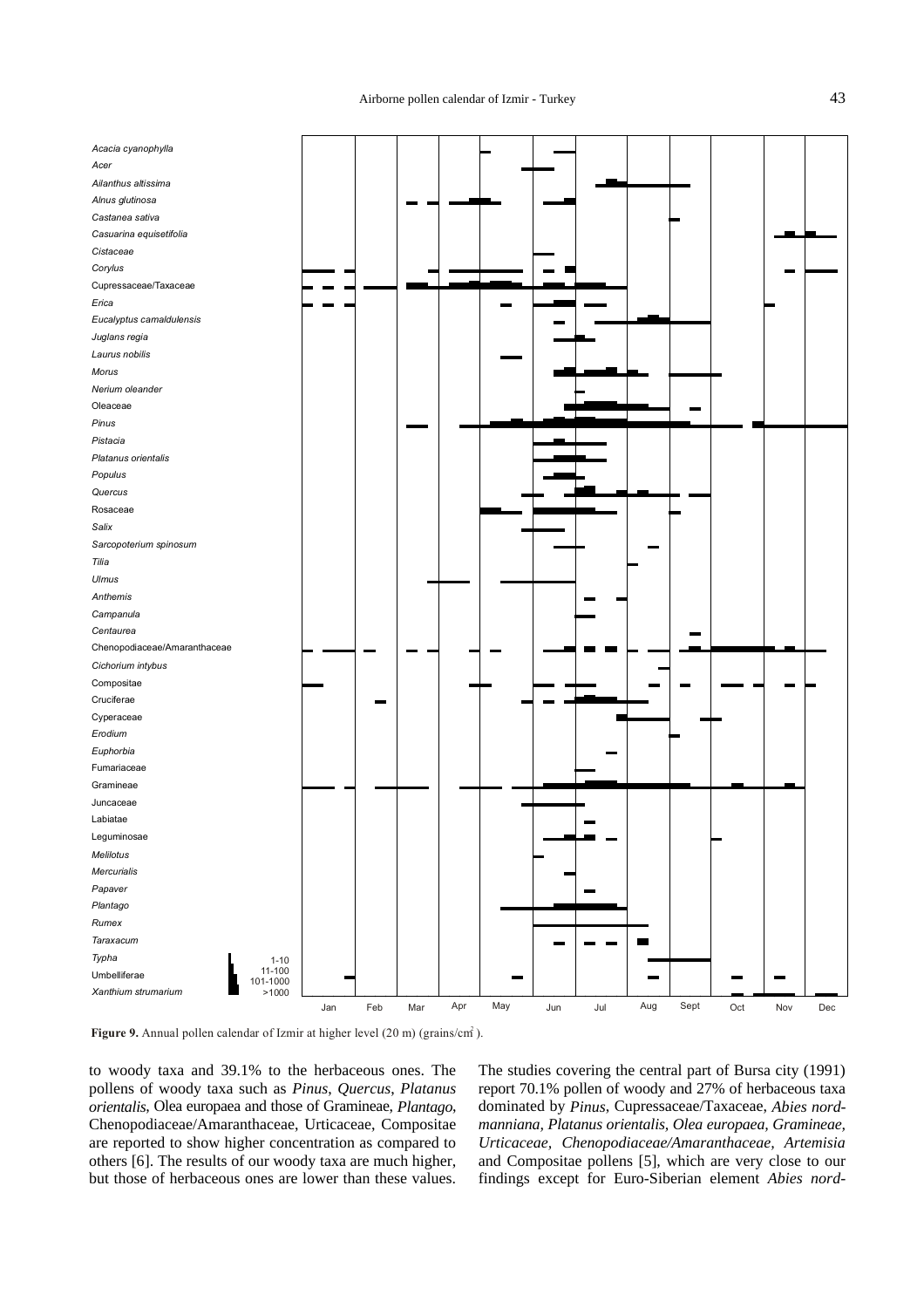Airborne pollen calendar of Izmir - Turkey 43

| Acacia cyanophylla           |                   |     |     |     |     |     |     |     |                          |      |     |     |                |
|------------------------------|-------------------|-----|-----|-----|-----|-----|-----|-----|--------------------------|------|-----|-----|----------------|
| Acer                         |                   |     |     |     |     |     |     |     |                          |      |     |     |                |
| Ailanthus altissima          |                   |     |     |     |     |     |     |     |                          |      |     |     |                |
| Alnus glutinosa              |                   |     |     |     |     |     |     |     |                          |      |     |     |                |
| Castanea sativa              |                   |     |     |     |     |     |     |     |                          |      |     |     |                |
| Casuarina equisetifolia      |                   |     |     |     |     |     |     |     |                          |      |     |     |                |
| Cistaceae                    |                   |     |     |     |     |     |     |     |                          |      |     |     |                |
| Corylus                      |                   |     |     |     |     |     |     |     |                          |      |     |     |                |
| Cupressaceae/Taxaceae        |                   |     |     |     |     |     |     |     |                          |      |     |     |                |
| Erica                        |                   |     |     |     |     |     |     |     |                          |      |     |     |                |
| Eucalyptus camaldulensis     |                   |     |     |     |     |     |     |     |                          |      |     |     |                |
| Juglans regia                |                   |     |     |     |     |     |     |     |                          |      |     |     |                |
| Laurus nobilis               |                   |     |     |     |     |     |     |     |                          |      |     |     |                |
| Morus                        |                   |     |     |     |     |     |     |     |                          |      |     |     |                |
| Nerium oleander              |                   |     |     |     |     |     |     |     |                          |      |     |     |                |
| Oleaceae                     |                   |     |     |     |     |     |     |     |                          |      |     |     |                |
| Pinus                        |                   |     |     |     |     |     |     |     |                          |      |     |     |                |
| Pistacia                     |                   |     |     |     |     |     |     |     |                          |      |     |     |                |
| Platanus orientalis          |                   |     |     |     |     |     |     |     |                          |      |     |     |                |
| Populus                      |                   |     |     |     |     |     |     |     |                          |      |     |     |                |
| Quercus                      |                   |     |     |     |     |     |     |     |                          |      |     |     |                |
| Rosaceae                     |                   |     |     |     |     |     |     |     |                          |      |     |     |                |
| Salix                        |                   |     |     |     |     |     |     |     |                          |      |     |     |                |
| Sarcopoterium spinosum       |                   |     |     |     |     |     |     |     |                          |      |     |     |                |
|                              |                   |     |     |     |     |     |     |     |                          |      |     |     |                |
| Tilia                        |                   |     |     |     |     |     |     |     |                          |      |     |     |                |
| Ulmus                        |                   |     |     |     |     |     |     |     |                          |      |     |     |                |
| Anthemis                     |                   |     |     |     |     |     |     |     |                          |      |     |     |                |
| Campanula                    |                   |     |     |     |     |     |     |     |                          |      |     |     |                |
| Centaurea                    |                   |     |     |     |     |     |     |     |                          |      |     |     |                |
| Chenopodiaceae/Amaranthaceae |                   |     |     |     |     |     |     |     |                          |      |     |     |                |
| Cichorium intybus            |                   |     |     |     |     |     |     |     |                          |      |     |     |                |
| Compositae                   |                   |     |     |     |     |     |     |     |                          |      |     |     |                |
| Cruciferae                   |                   |     |     |     |     |     |     |     |                          |      |     |     |                |
| Cyperaceae                   |                   |     |     |     |     |     |     |     |                          |      |     |     |                |
| Erodium                      |                   |     |     |     |     |     |     |     |                          |      |     |     |                |
| Euphorbia                    |                   |     |     |     |     |     |     |     |                          |      |     |     |                |
| Fumariaceae                  |                   |     |     |     |     |     |     |     |                          |      |     |     |                |
| Gramineae                    |                   |     |     |     |     |     |     |     |                          |      |     |     |                |
| Juncaceae                    |                   |     |     |     |     |     |     |     |                          |      |     |     |                |
| Labiatae                     |                   |     |     |     |     |     |     |     |                          |      |     |     |                |
| Leguminosae                  |                   |     |     |     |     |     |     |     |                          |      |     |     |                |
| Melilotus                    |                   |     |     |     |     |     |     |     |                          |      |     |     |                |
| <b>Mercurialis</b>           |                   |     |     |     |     |     |     |     |                          |      |     |     |                |
| Papaver                      |                   |     |     |     |     |     |     |     |                          |      |     |     |                |
| Plantago                     |                   |     |     |     |     |     |     |     |                          |      |     |     |                |
| Rumex                        |                   |     |     |     |     |     |     |     |                          |      |     |     |                |
| Taraxacum                    |                   |     |     |     |     |     |     |     | $\overline{\phantom{a}}$ |      |     |     |                |
| Typha                        | $1 - 10$          |     |     |     |     |     |     |     |                          |      |     |     |                |
| Umbelliferae                 | 11-100            |     |     |     |     |     |     |     |                          |      |     |     |                |
| Xanthium strumarium          | 101-1000<br>>1000 |     |     |     |     |     |     |     |                          |      |     |     |                |
|                              |                   | Jan | Feb | Mar | Apr | May | Jun | Jul | Aug                      | Sept | Oct | Nov | $\mathsf{Dec}$ |

Figure 9. Annual pollen calendar of Izmir at higher level  $(20 \text{ m})$  (grains/cm<sup>2</sup>).

to woody taxa and 39.1% to the herbaceous ones. The pollens of woody taxa such as *Pinus*, *Quercus*, *Platanus orientalis*, Olea europaea and those of Gramineae, *Plantago*, Chenopodiaceae/Amaranthaceae, Urticaceae, Compositae are reported to show higher concentration as compared to others [6]. The results of our woody taxa are much higher, but those of herbaceous ones are lower than these values.

The studies covering the central part of Bursa city (1991) report 70.1% pollen of woody and 27% of herbaceous taxa dominated by *Pinus*, Cupressaceae/Taxaceae, *Abies nordmanniana, Platanus orientalis, Olea europaea, Gramineae, Urticaceae, Chenopodiaceae/Amaranthaceae, Artemisia* and Compositae pollens [5], which are very close to our findings except for Euro-Siberian element *Abies nord-*